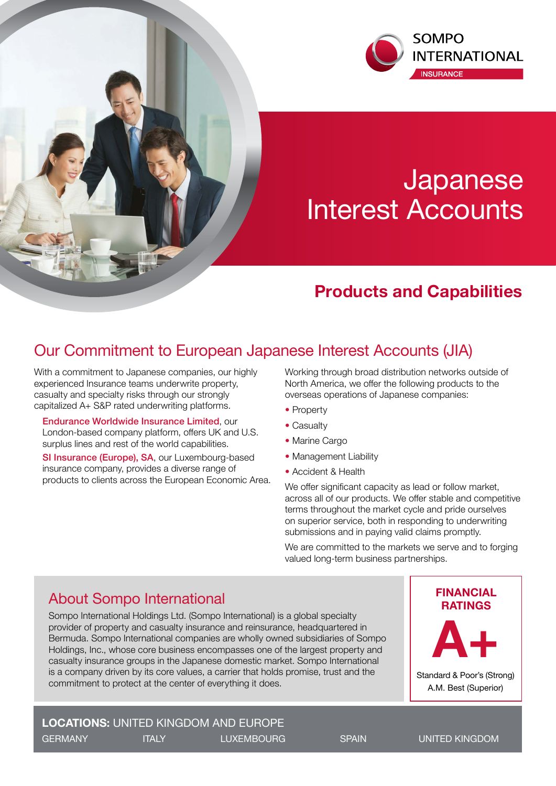

# **Japanese** Interest Accounts

# **Products and Capabilities**

### Our Commitment to European Japanese Interest Accounts (JIA)

With a commitment to Japanese companies, our highly experienced Insurance teams underwrite property, casualty and specialty risks through our strongly capitalized A+ S&P rated underwriting platforms.

Endurance Worldwide Insurance Limited, our London-based company platform, offers UK and U.S. surplus lines and rest of the world capabilities.

SI Insurance (Europe), SA, our Luxembourg-based insurance company, provides a diverse range of products to clients across the European Economic Area. Working through broad distribution networks outside of North America, we offer the following products to the overseas operations of Japanese companies:

- Property
- Casualty
- Marine Cargo
- Management Liability
- Accident & Health

We offer significant capacity as lead or follow market, across all of our products. We offer stable and competitive terms throughout the market cycle and pride ourselves on superior service, both in responding to underwriting submissions and in paying valid claims promptly.

We are committed to the markets we serve and to forging valued long-term business partnerships.

## **RATINGS** About Sompo International

Sompo International Holdings Ltd. (Sompo International) is a global specialty provider of property and casualty insurance and reinsurance, headquartered in Bermuda. Sompo International companies are wholly owned subsidiaries of Sompo Holdings, Inc., whose core business encompasses one of the largest property and casualty insurance groups in the Japanese domestic market. Sompo International is a company driven by its core values, a carrier that holds promise, trust and the commitment to protect at the center of everything it does.

### **LOCATIONS:** UNITED KINGDOM AND EUROPE GERMANY **ITALY LUXEMBOURG** SPAIN UNITED KINGDOM

Standard & Poor's (Strong) A.M. Best (Superior)

**A+**

**FINANCIAL**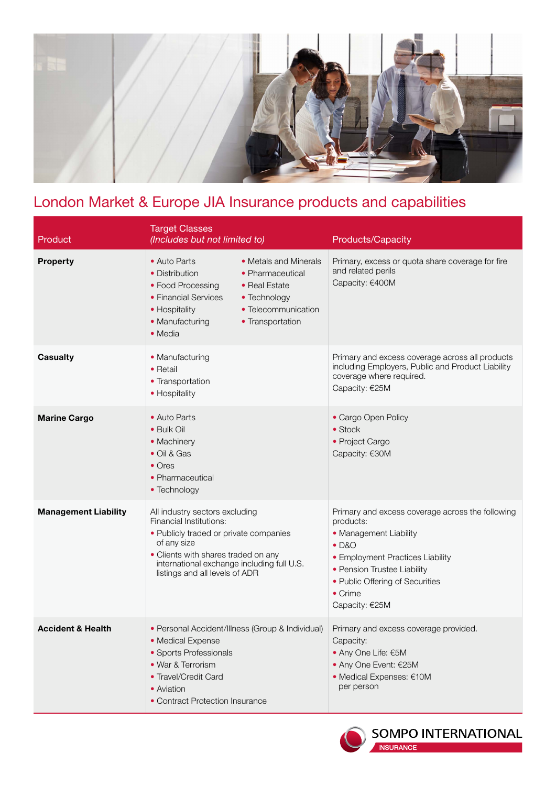

# London Market & Europe JIA Insurance products and capabilities

| Product                      | <b>Target Classes</b><br>(Includes but not limited to)                                                                                                                                                                                              | Products/Capacity                                                                                                                                                                                                                           |
|------------------------------|-----------------------------------------------------------------------------------------------------------------------------------------------------------------------------------------------------------------------------------------------------|---------------------------------------------------------------------------------------------------------------------------------------------------------------------------------------------------------------------------------------------|
| <b>Property</b>              | • Metals and Minerals<br>• Auto Parts<br>• Distribution<br>• Pharmaceutical<br>• Food Processing<br>• Real Estate<br>• Financial Services<br>• Technology<br>• Telecommunication<br>• Hospitality<br>• Manufacturing<br>• Transportation<br>• Media | Primary, excess or quota share coverage for fire<br>and related perils<br>Capacity: €400M                                                                                                                                                   |
| <b>Casualty</b>              | • Manufacturing<br>• Retail<br>• Transportation<br>• Hospitality                                                                                                                                                                                    | Primary and excess coverage across all products<br>including Employers, Public and Product Liability<br>coverage where required.<br>Capacity: €25M                                                                                          |
| <b>Marine Cargo</b>          | • Auto Parts<br>• Bulk Oil<br>• Machinery<br>• Oil & Gas<br>$\bullet$ Ores<br>• Pharmaceutical<br>• Technology                                                                                                                                      | • Cargo Open Policy<br>$\bullet$ Stock<br>• Project Cargo<br>Capacity: €30M                                                                                                                                                                 |
| <b>Management Liability</b>  | All industry sectors excluding<br>Financial Institutions:<br>• Publicly traded or private companies<br>of any size<br>• Clients with shares traded on any<br>international exchange including full U.S.<br>listings and all levels of ADR           | Primary and excess coverage across the following<br>products:<br>• Management Liability<br>$\bullet$ D&O<br>• Employment Practices Liability<br>• Pension Trustee Liability<br>• Public Offering of Securities<br>• Crime<br>Capacity: €25M |
| <b>Accident &amp; Health</b> | • Personal Accident/Illness (Group & Individual)<br>• Medical Expense<br>• Sports Professionals<br>• War & Terrorism<br>• Travel/Credit Card<br>• Aviation<br>• Contract Protection Insurance                                                       | Primary and excess coverage provided.<br>Capacity:<br>• Any One Life: €5M<br>• Any One Event: €25M<br>• Medical Expenses: €10M<br>per person                                                                                                |